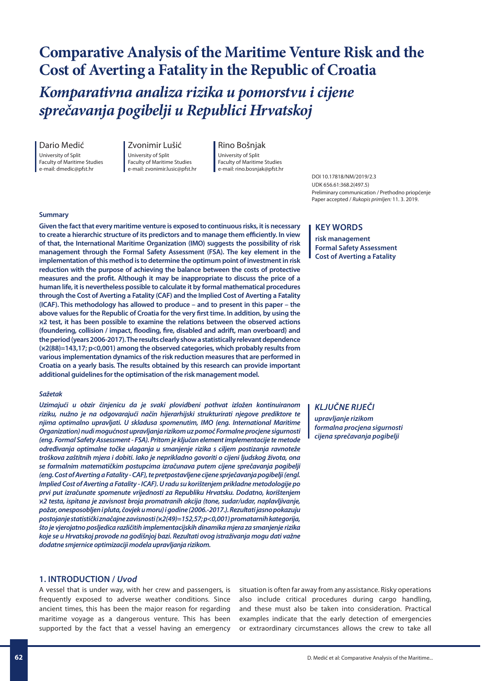# **Comparative Analysis of the Maritime Venture Risk and the Cost of Averting a Fatality in the Republic of Croatia**

*Komparativna analiza rizika u pomorstvu i cijene sprečavanja pogibelji u Republici Hrvatskoj*

Dario Medić

University of Split Faculty of Maritime Studies e-mail: dmedic@pfst.hr

Zvonimir Lušić University of Split Faculty of Maritime Studies e-mail: zvonimir.lusic@pfst.hr

Rino Bošnjak University of Split Faculty of Maritime Studies e-mail: rino.bosnjak@pfst.hr

DOI 10.17818/NM/2019/2.3 UDK 656.61:368.2(497.5) Preliminary communication / Prethodno priopćenje Paper accepted / *Rukopis primljen:* 11. 3. 2019.

#### **Summary**

**Given the fact that every maritime venture is exposed to continuous risks, it is necessary to create a hierarchic structure of its predictors and to manage them efficiently. In view of that, the International Maritime Organization (IMO) suggests the possibility of risk management through the Formal Safety Assessment (FSA). The key element in the implementation of this method is to determine the optimum point of investment in risk reduction with the purpose of achieving the balance between the costs of protective measures and the profit. Although it may be inappropriate to discuss the price of a human life, it is nevertheless possible to calculate it by formal mathematical procedures through the Cost of Averting a Fatality (CAF) and the Implied Cost of Averting a Fatality (ICAF). This methodology has allowed to produce – and to present in this paper – the above values for the Republic of Croatia for the very first time. In addition, by using the** ϰ**2 test, it has been possible to examine the relations between the observed actions (foundering, collision / impact, flooding, fire, disabled and adrift, man overboard) and the period (years 2006-2017). The results clearly show a statistically relevant dependence (**ϰ**2(88)=143,17; p<0,001) among the observed categories, which probably results from various implementation dynamics of the risk reduction measures that are performed in Croatia on a yearly basis. The results obtained by this research can provide important additional guidelines for the optimisation of the risk management model.**

#### *Sažetak*

*Uzimajući u obzir činjenicu da je svaki plovidbeni pothvat izložen kontinuiranom riziku, nužno je na odgovarajući način hijerarhijski strukturirati njegove prediktore te njima optimalno upravljati. U skladusa spomenutim, IMO (eng. International Maritime Organization) nudi mogućnost upravljanja rizikom uz pomoć Formalne procjene sigurnosti (eng. Formal Safety Assessment - FSA). Pritom je ključan element implementacije te metode određivanja optimalne točke ulaganja u smanjenje rizika s ciljem postizanja ravnoteže troškova zaštitnih mjera i dobiti. Iako je neprikladno govoriti o cijeni ljudskog života, ona se formalnim matematičkim postupcima izračunava putem cijene sprečavanja pogibelji (eng. Cost of Averting a Fatality - CAF), te pretpostavljene cijene sprječavanja pogibelji (engl. Implied Cost of Averting a Fatality - ICAF). U radu su korištenjem prikladne metodologije po prvi put izračunate spomenute vrijednosti za Republiku Hrvatsku. Dodatno, korištenjem*  ϰ*2 testa, ispitana je zavisnost broja promatranih akcija (tone, sudar/udar, naplavljivanje, požar, onesposobljen i pluta, čovjek u moru) i godine (2006.-2017.). Rezultati jasno pokazuju postojanje statistički značajne zavisnosti (*ϰ*2(49)=152,57; p<0,001) promatarnih kategorija, što je vjerojatno posljedica različitih implementacijskih dinamika mjera za smanjenje rizika koje se u Hrvatskoj provode na godišnjoj bazi. Rezultati ovog istraživanja mogu dati važne dodatne smjernice optimizaciji modela upravljanja rizikom.*

#### **1. INTRODUCTION /** *Uvod*

A vessel that is under way, with her crew and passengers, is frequently exposed to adverse weather conditions. Since ancient times, this has been the major reason for regarding maritime voyage as a dangerous venture. This has been supported by the fact that a vessel having an emergency

*upravljanje rizikom*

*formalna procjena sigurnosti cijena sprečavanja pogibelji*

## **KEY WORDS**

**risk management Formal Safety Assessment Cost of Averting a Fatality**

## *KLJUČNE RIJEČI*

situation is often far away from any assistance. Risky operations also include critical procedures during cargo handling, and these must also be taken into consideration. Practical examples indicate that the early detection of emergencies or extraordinary circumstances allows the crew to take all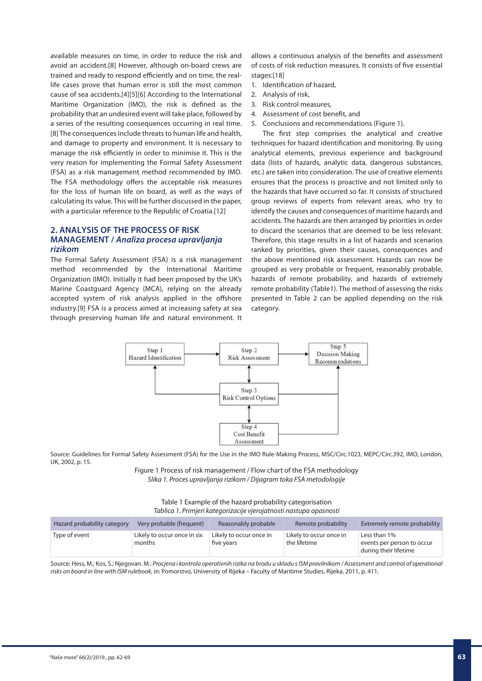available measures on time, in order to reduce the risk and avoid an accident.[8] However, although on-board crews are trained and ready to respond efficiently and on time, the reallife cases prove that human error is still the most common cause of sea accidents.[4][5][6] According to the International Maritime Organization (IMO), the risk is defined as the probability that an undesired event will take place, followed by a series of the resulting consequences occurring in real time. [8] The consequences include threats to human life and health, and damage to property and environment. It is necessary to manage the risk efficiently in order to minimise it. This is the very reason for implementing the Formal Safety Assessment (FSA) as a risk management method recommended by IMO. The FSA methodology offers the acceptable risk measures for the loss of human life on board, as well as the ways of calculating its value. This will be further discussed in the paper, with a particular reference to the Republic of Croatia.[12]

## **2. ANALYSIS OF THE PROCESS OF RISK MANAGEMENT /** *Analiza procesa upravljanja rizikom*

The Formal Safety Assessment (FSA) is a risk management method recommended by the International Maritime Organization (IMO). Initially it had been proposed by the UK's Marine Coastguard Agency (MCA), relying on the already accepted system of risk analysis applied in the offshore industry.[9] FSA is a process aimed at increasing safety at sea through preserving human life and natural environment. It allows a continuous analysis of the benefits and assessment of costs of risk reduction measures. It consists of five essential stages:[18]

- 1. Identification of hazard,
- 2. Analysis of risk,
- 3. Risk control measures,
- 4. Assessment of cost benefit, and
- 5. Conclusions and recommendations (Figure 1).

The first step comprises the analytical and creative techniques for hazard identification and monitoring. By using analytical elements, previous experience and background data (lists of hazards, analytic data, dangerous substances, etc.) are taken into consideration. The use of creative elements ensures that the process is proactive and not limited only to the hazards that have occurred so far. It consists of structured group reviews of experts from relevant areas, who try to identify the causes and consequences of maritime hazards and accidents. The hazards are then arranged by priorities in order to discard the scenarios that are deemed to be less relevant. Therefore, this stage results in a list of hazards and scenarios ranked by priorities, given their causes, consequences and the above mentioned risk assessment. Hazards can now be grouped as very probable or frequent, reasonably probable, hazards of remote probability, and hazards of extremely remote probability (Table1). The method of assessing the risks presented in Table 2 can be applied depending on the risk category.



Source: Guidelines for Formal Safety Assessment (FSA) for the Use in the IMO Rule-Making Process, MSC/Circ.1023, MEPC/Circ.392, IMO, London, UK, 2002, p. 15.

> Figure 1 Process of risk management / Flow chart of the FSA methodology *Slika 1. Proces upravljanja rizikom / Dijagram toka FSA metodologije*

Table 1 Example of the hazard probability categorisation *Tablica 1. Primjeri kategorizacije vjerojatnosti nastupa opasnosti*

| Hazard probability category | Very probable (frequent)              | Reasonably probable                   | Remote probability                      | Extremely remote probability                                        |
|-----------------------------|---------------------------------------|---------------------------------------|-----------------------------------------|---------------------------------------------------------------------|
| Type of event               | Likely to occur once in six<br>months | Likely to occur once in<br>five vears | Likely to occur once in<br>the lifetime | Less than 1%<br>events per person to occur<br>during their lifetime |

Source: Hess, M.; Kos, S.; Njegovan. M.: *Procjena i kontrola operativnih rizika na brodu u skladu s ISM pravilnikom / Assessment and control of operational risks on board in line with ISM rulebook*, in: Pomorstvo, University of Rijeka – Faculty of Maritime Studies, Rijeka, 2011, p. 411.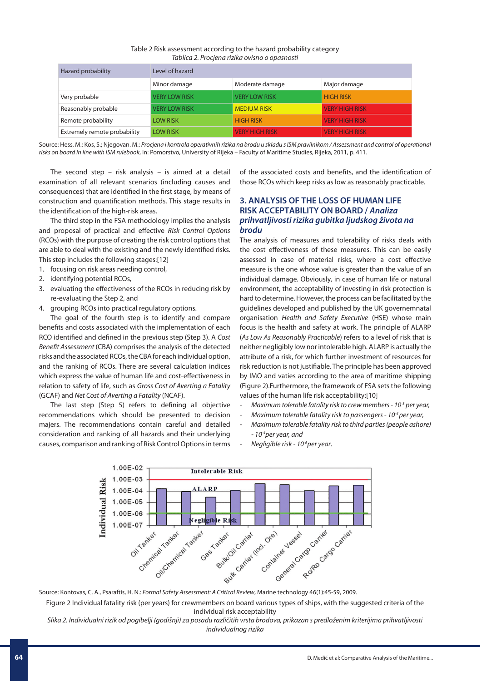| Table 2 Risk assessment according to the hazard probability category |  |
|----------------------------------------------------------------------|--|
| Tablica 2. Procjena rizika ovisno o opasnosti                        |  |

| Hazard probability           | Level of hazard      |                       |                       |  |  |  |
|------------------------------|----------------------|-----------------------|-----------------------|--|--|--|
|                              | Minor damage         | Moderate damage       | Major damage          |  |  |  |
| Very probable                | <b>VERY LOW RISK</b> | <b>VERY LOW RISK</b>  | <b>HIGH RISK</b>      |  |  |  |
| Reasonably probable          | <b>VERY LOW RISK</b> | <b>MEDIUM RISK</b>    | <b>VERY HIGH RISK</b> |  |  |  |
| Remote probability           | <b>LOW RISK</b>      | <b>HIGH RISK</b>      | <b>VERY HIGH RISK</b> |  |  |  |
| Extremely remote probability | <b>LOW RISK</b>      | <b>VERY HIGH RISK</b> | <b>VERY HIGH RISK</b> |  |  |  |

Source: Hess, M.; Kos, S.; Njegovan. M.: *Procjena i kontrola operativnih rizika na brodu u skladu s ISM pravilnikom / Assessment and control of operational risks on board in line with ISM rulebook*, in: Pomorstvo, University of Rijeka – Faculty of Maritime Studies, Rijeka, 2011, p. 411.

The second step – risk analysis – is aimed at a detail examination of all relevant scenarios (including causes and consequences) that are identified in the first stage, by means of construction and quantification methods. This stage results in the identification of the high-risk areas.

The third step in the FSA methodology implies the analysis and proposal of practical and effective *Risk Control Options*  (RCOs) with the purpose of creating the risk control options that are able to deal with the existing and the newly identified risks. This step includes the following stages:[12]

- 1. focusing on risk areas needing control,
- 2. identifying potential RCOs,
- 3. evaluating the effectiveness of the RCOs in reducing risk by re-evaluating the Step 2, and
- 4. grouping RCOs into practical regulatory options.

The goal of the fourth step is to identify and compare benefits and costs associated with the implementation of each RCO identified and defined in the previous step (Step 3). A *Cost Benefit Assessment* (CBA) comprises the analysis of the detected risks and the associated RCOs, the CBA for each individual option, and the ranking of RCOs. There are several calculation indices which express the value of human life and cost-effectiveness in relation to safety of life, such as *Gross Cost of Averting a Fatality* (GCAF) and *Net Cost of Averting a Fatality* (NCAF).

The last step (Step 5) refers to defining all objective recommendations which should be presented to decision majers. The recommendations contain careful and detailed consideration and ranking of all hazards and their underlying causes, comparison and ranking of Risk Control Options in terms of the associated costs and benefits, and the identification of those RCOs which keep risks as low as reasonably practicable.

## **3. ANALYSIS OF THE LOSS OF HUMAN LIFE RISK ACCEPTABILITY ON BOARD /** *Analiza prihvatljivosti rizika gubitka ljudskog života na brodu*

The analysis of measures and tolerability of risks deals with the cost effectiveness of these measures. This can be easily assessed in case of material risks, where a cost effective measure is the one whose value is greater than the value of an individual damage. Obviously, in case of human life or natural environment, the acceptability of investing in risk protection is hard to determine. However, the process can be facilitated by the guidelines developed and published by the UK governemnatal organisation *Health and Safety Executive* (HSE) whose main focus is the health and safety at work. The principle of ALARP (*As Low As Reasonably Practicable*) refers to a level of risk that is neither negligibly low nor intolerable high. ALARP is actually the attribute of a risk, for which further investment of resources for risk reduction is not justifiable. The principle has been approved by IMO and vaties according to the area of maritime shipping (Figure 2).Furthermore, the framework of FSA sets the following values of the human life risk acceptability:[10]

- *Maximum tolerable fatality risk to crew members 10-3 per year,*
- *Maximum tolerable fatality risk to passengers 10-4 per year,*
	- *Maximum tolerable fatality risk to third parties (people ashore) - 10-4per year, and*
	- *Negligible risk 10-6per year*.



Source: Kontovas, C. A., Psaraftis, H. N.: *Formal Safety Assessment: A Critical Review*, Marine technology 46(1):45-59, 2009.

Figure 2 Individual fatality risk (per years) for crewmembers on board various types of ships, with the suggested criteria of the individual risk acceptability

*Slika 2. Individualni rizik od pogibelji (godišnji) za posadu različitih vrsta brodova, prikazan s predloženim kriterijima prihvatljivosti individualnog rizika*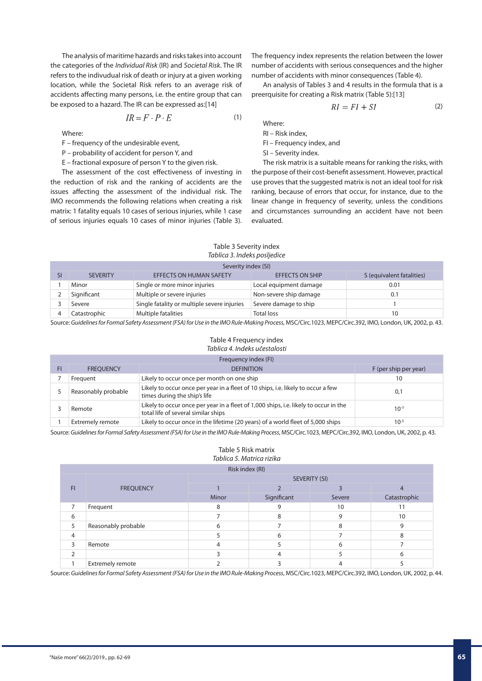The analysis of maritime hazards and risks takes into account the categories of the *Individual Risk* (IR) and *Societal Risk*. The IR refers to the indivudual risk of death or injury at a given working location, while the Societal Risk refers to an average risk of accidents affecting many persons, i.e. the entire group that can be exposed to a hazard. The IR can be expressed as:[14]

$$
IR = F \cdot P \cdot E \tag{1}
$$

Where:

- F frequency of the undesirable event,
- P probability of accident for person Y, and
- E fractional exposure of person Y to the given risk.

The assessment of the cost effectiveness of investing in the reduction of risk and the ranking of accidents are the issues affecting the assessment of the individual risk. The IMO recommends the following relations when creating a risk matrix: 1 fatality equals 10 cases of serious injuries, while 1 case of serious injuries equals 10 cases of minor injuries (Table 3).

The frequency index represents the relation between the lower number of accidents with serious consequences and the higher number of accidents with minor consequences (Table 4).

An analysis of Tables 3 and 4 results in the formula that is a preerquisite for creating a Risk matrix (Table 5):[13]

$$
RI = FI + SI \tag{2}
$$

Where:

- RI Risk index,
- FI Frequency index, and
- SI Severity index.

The risk matrix is a suitable means for ranking the risks, with the purpose of their cost-benefit assessment. However, practical use proves that the suggested matrix is not an ideal tool for risk ranking, because of errors that occur, for instance, due to the linear change in frequency of severity, unless the conditions and circumstances surrounding an accident have not been evaluated.

#### Table 3 Severity index *Tablica 3. Indeks posljedice*

|  |  | Severity index (SI |  |
|--|--|--------------------|--|

| Severity index (SI) |                                             |                        |                           |  |  |  |  |
|---------------------|---------------------------------------------|------------------------|---------------------------|--|--|--|--|
| <b>SEVERITY</b>     | <b>EFFECTS ON HUMAN SAFETY</b>              | <b>EFFECTS ON SHIP</b> | S (equivalent fatalities) |  |  |  |  |
| Minor               | Single or more minor injuries               | Local equipment damage | 0.01                      |  |  |  |  |
| Significant         | Multiple or severe injuries                 | Non-severe ship damage | 0.1                       |  |  |  |  |
| Severe              | Single fatality or multiple severe injuries | Severe damage to ship  |                           |  |  |  |  |
| Catastrophic        | <b>Multiple fatalities</b>                  | <b>Total loss</b>      | 10                        |  |  |  |  |

Source: *Guidelines for Formal Safety Assessment (FSA) for Use in the IMO Rule-Making Process*, MSC/Circ.1023, MEPC/Circ.392, IMO, London, UK, 2002, p. 43.

## Table 4 Frequency index *Tablica 4. Indeks učestalosti*

|    | Frequency index (FI)    |                                                                                                                             |           |  |  |  |  |  |
|----|-------------------------|-----------------------------------------------------------------------------------------------------------------------------|-----------|--|--|--|--|--|
| FI | <b>FREOUENCY</b>        | F (per ship per year)                                                                                                       |           |  |  |  |  |  |
|    | Frequent                | Likely to occur once per month on one ship                                                                                  | 10        |  |  |  |  |  |
|    | Reasonably probable     | Likely to occur once per year in a fleet of 10 ships, i.e. likely to occur a few<br>times during the ship's life            | 0,1       |  |  |  |  |  |
|    | Remote                  | Likely to occur once per year in a fleet of 1,000 ships, i.e. likely to occur in the<br>total life of several similar ships | $10^{-3}$ |  |  |  |  |  |
|    | <b>Extremely remote</b> | Likely to occur once in the lifetime (20 years) of a world fleet of 5,000 ships                                             | $10^{-5}$ |  |  |  |  |  |

Source: *Guidelines for Formal Safety Assessment (FSA) for Use in the IMO Rule-Making Process*, MSC/Circ.1023, MEPC/Circ.392, IMO, London, UK, 2002, p. 43.

#### Table 5 Risk matrix *Tablica 5. Matrica rizika*

| Risk index (RI) |                     |                      |             |        |              |  |  |  |
|-----------------|---------------------|----------------------|-------------|--------|--------------|--|--|--|
|                 |                     | <b>SEVERITY (SI)</b> |             |        |              |  |  |  |
| FI              | <b>FREQUENCY</b>    |                      |             |        |              |  |  |  |
|                 |                     | Minor                | Significant | Severe | Catastrophic |  |  |  |
| $\overline{7}$  | Frequent            | 8                    |             | 10     | . .          |  |  |  |
| 6               |                     |                      | 8           | 9      | 10           |  |  |  |
| 5               | Reasonably probable | 6                    |             | 8      | 9            |  |  |  |
| 4               |                     |                      |             |        | 8            |  |  |  |
| ς               | Remote              |                      |             | 6      |              |  |  |  |
|                 |                     |                      |             |        | h            |  |  |  |
|                 | Extremely remote    |                      |             |        |              |  |  |  |

Source: *Guidelines for Formal Safety Assessment (FSA) for Use in the IMO Rule-Making Process*, MSC/Circ.1023, MEPC/Circ.392, IMO, London, UK, 2002, p. 44.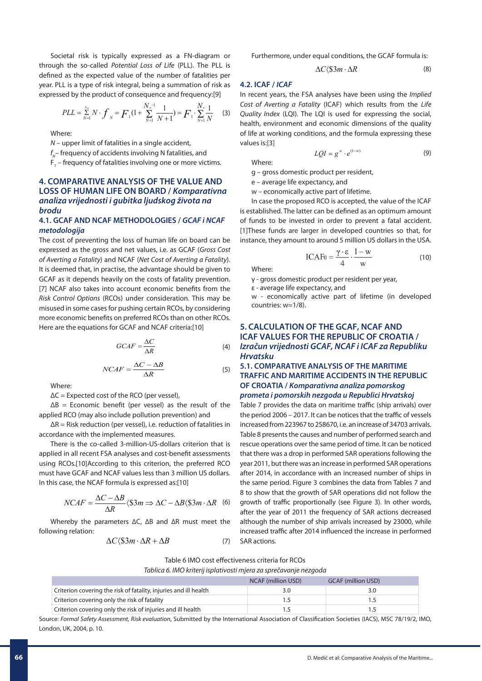Societal risk is typically expressed as a FN-diagram or through the so-called *Potential Loss of Life* (PLL). The PLL is defined as the expected value of the number of fatalities per year. PLL is a type of risk integral, being a summation of risk as expressed by the product of consequence and frequency:[9]

$$
PLL = \sum_{N=1}^{N_u} N \cdot f_N = F_1(1 + \sum_{N=1}^{N_u - 1} \frac{1}{N+1}) = F_1 \cdot \sum_{N=1}^{N_u} \frac{1}{N}
$$
 (3)

Where:

*N* – upper limit of fatalities in a single accident,

*f <sup>N</sup>*– frequency of accidents involving N fatalities, and

 $F_{1}$  – frequency of fatalities involving one or more victims.

## **4. COMPARATIVE ANALYSIS OF THE VALUE AND LOSS OF HUMAN LIFE ON BOARD /** *Komparativna analiza vrijednosti i gubitka ljudskog života na brodu*

#### **4.1. GCAF AND NCAF METHODOLOGIES /** *GCAF i NCAF metodologija*

The cost of preventing the loss of human life on board can be expressed as the gross and net values, i.e. as GCAF (*Gross Cost of Averting a Fatality*) and NCAF (*Net Cost of Averting a Fatality*). It is deemed that, in practise, the advantage should be given to GCAF as it depends heavily on the costs of fatality prevention. [7] NCAF also takes into account economic benefits from the *Risk Control Options* (RCOs) under consideration. This may be misused in some cases for pushing certain RCOs, by considering more economic benefits on preferred RCOs than on other RCOs. Here are the equations for GCAF and NCAF criteria:[10]

$$
GCAF = \frac{\Delta C}{\Delta R} \tag{4}
$$

$$
NCAF = \frac{\Delta C - \Delta B}{\Delta R}
$$
 (5)

Where:

 $\Delta C$  = Expected cost of the RCO (per vessel),

 $\Delta B$  = Economic benefit (per vessel) as the result of the applied RCO (may also include pollution prevention) and

 $\Delta$ R = Risk reduction (per vessel), i.e. reduction of fatalities in accordance with the implemented measures.

There is the co-called 3-million-US-dollars criterion that is applied in all recent FSA analyses and cost-benefit assessments using RCOs.[10]According to this criterion, the preferred RCO must have GCAF and NCAF values less than 3 million US dollars. In this case, the NCAF formula is expressed as:[10]

$$
NCAF = \frac{\Delta C - \Delta B}{\Delta R} \langle \$3m \Rightarrow \Delta C - \Delta B \langle \$3m \cdot \Delta R \rangle
$$
 (6)

Whereby the parameters ∆C, ∆B and ∆R must meet the following relation:

$$
\Delta C \langle \$\mathfrak{3}m \cdot \Delta R + \Delta B \tag{7}
$$

Furthermore, under equal conditions, the GCAF formula is:

$$
\Delta C \langle \$\mathfrak{3}m \cdot \Delta R \tag{8}
$$

#### **4.2. ICAF /** *ICAF*

In recent years, the FSA analyses have been using the *Implied Cost of Averting a Fatality* (ICAF) which results from the *Life Quality Index* (LQI). The LQI is used for expressing the social, health, environment and economic dimensions of the quality of life at working conditions, and the formula expressing these values is:[3]

$$
LQI = g^w \cdot e^{(1-w)} \tag{9}
$$

Where:

g – gross domestic product per resident,

e – average life expectancy, and

w – economically active part of lifetime.

In case the proposed RCO is accepted, the value of the ICAF is established. The latter can be defined as an optimum amount of funds to be invested in order to prevent a fatal accident. [1]These funds are larger in developed countries so that, for instance, they amount to around 5 million US dollars in the USA.

$$
\text{ICAF0} = \frac{\gamma \cdot \varepsilon}{4} \cdot \frac{1 - w}{w} \tag{10}
$$

Where:

γ - gross domestic product per resident per year,

ε - average life expectancy, and

w - economically active part of lifetime (in developed countries: w≈1/8).

## **5. CALCULATION OF THE GCAF, NCAF AND ICAF VALUES FOR THE REPUBLIC OF CROATIA /**  *Izračun vrijednosti GCAF, NCAF i ICAF za Republiku Hrvatsku*

#### **5.1. COMPARATIVE ANALYSIS OF THE MARITIME TRAFFIC AND MARITIME ACCIDENTS IN THE REPUBLIC OF CROATIA /** *Komparativna analiza pomorskog prometa i pomorskih nezgoda u Republici Hrvatskoj*

Table 7 provides the data on maritime traffic (ship arrivals) over the period 2006 – 2017. It can be notices that the traffic of vessels increased from 223967 to 258670, i.e. an increase of 34703 arrivals. Table 8 presents the causes and number of performed search and rescue operations over the same period of time. It can be noticed that there was a drop in performed SAR operations following the year 2011, but there was an increase in performed SAR operations after 2014, in accordance with an increased number of ships in the same period. Figure 3 combines the data from Tables 7 and 8 to show that the growth of SAR operations did not follow the growth of traffic proportionally (see Figure 3). In other words, after the year of 2011 the frequency of SAR actions decreased although the number of ship arrivals increased by 23000, while increased traffic after 2014 influenced the increase in performed SAR actions.

#### Table 6 IMO cost effectiveness criteria for RCOs

*Tablica 6. IMO kriterij isplativosti mjera za sprečavanje nezgoda*

|                                                                  | <b>NCAF</b> (million USD) | <b>GCAF</b> (million USD) |
|------------------------------------------------------------------|---------------------------|---------------------------|
| Criterion covering the risk of fatality, injuries and ill health | 3.0                       |                           |
| Criterion covering only the risk of fatality                     |                           |                           |
| Criterion covering only the risk of injuries and ill health      |                           |                           |

Source: *Formal Safety Assessment, Risk evaluation*, Submitted by the International Association of Classification Societies (IACS), MSC 78/19/2, IMO, London, UK, 2004, p. 10.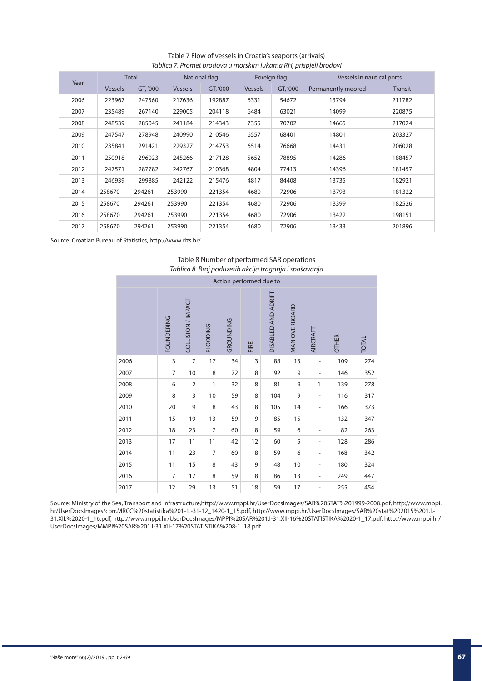## Table 7 Flow of vessels in Croatia's seaports (arrivals) *Tablica 7. Promet brodova u morskim lukama RH, prispjeli brodovi*

|      |                | <b>Total</b> | National flag  |          | Foreign flag   |          | Vessels in nautical ports |                |
|------|----------------|--------------|----------------|----------|----------------|----------|---------------------------|----------------|
| Year | <b>Vessels</b> | GT, '000     | <b>Vessels</b> | GT, '000 | <b>Vessels</b> | GT, '000 | Permanently moored        | <b>Transit</b> |
| 2006 | 223967         | 247560       | 217636         | 192887   | 6331           | 54672    | 13794                     | 211782         |
| 2007 | 235489         | 267140       | 229005         | 204118   | 6484           | 63021    | 14099                     | 220875         |
| 2008 | 248539         | 285045       | 241184         | 214343   | 7355           | 70702    | 14665                     | 217024         |
| 2009 | 247547         | 278948       | 240990         | 210546   | 6557           | 68401    | 14801                     | 203327         |
| 2010 | 235841         | 291421       | 229327         | 214753   | 6514           | 76668    | 14431                     | 206028         |
| 2011 | 250918         | 296023       | 245266         | 217128   | 5652           | 78895    | 14286                     | 188457         |
| 2012 | 247571         | 287782       | 242767         | 210368   | 4804           | 77413    | 14396                     | 181457         |
| 2013 | 246939         | 299885       | 242122         | 215476   | 4817           | 84408    | 13735                     | 182921         |
| 2014 | 258670         | 294261       | 253990         | 221354   | 4680           | 72906    | 13793                     | 181322         |
| 2015 | 258670         | 294261       | 253990         | 221354   | 4680           | 72906    | 13399                     | 182526         |
| 2016 | 258670         | 294261       | 253990         | 221354   | 4680           | 72906    | 13422                     | 198151         |
| 2017 | 258670         | 294261       | 253990         | 221354   | 4680           | 72906    | 13433                     | 201896         |

Source: Croatian Bureau of Statistics, http://www.dzs.hr/

#### Table 8 Number of performed SAR operations *Tablica 8. Broj poduzetih akcija traganja i spašavanja*

| Action performed due to |                   |                    |                 |           |      |                     |                      |                              |              |              |
|-------------------------|-------------------|--------------------|-----------------|-----------|------|---------------------|----------------------|------------------------------|--------------|--------------|
|                         | <b>FOUNDERING</b> | COLLISION / IMPACT | <b>FLOODING</b> | GROUNDING | FIRE | DISABLED AND ADRIFT | <b>MAN OVERBOARD</b> | AIRCRAFT                     | <b>OTHER</b> | <b>TOTAL</b> |
| 2006                    | 3                 | $\overline{7}$     | 17              | 34        | 3    | 88                  | 13                   | $\overline{\phantom{m}}$     | 109          | 274          |
| 2007                    | 7                 | 10                 | 8               | 72        | 8    | 92                  | 9                    | $\overline{a}$               | 146          | 352          |
| 2008                    | 6                 | 2                  | 1               | 32        | 8    | 81                  | 9                    | 1                            | 139          | 278          |
| 2009                    | 8                 | 3                  | 10              | 59        | 8    | 104                 | 9                    | $\qquad \qquad \blacksquare$ | 116          | 317          |
| 2010                    | 20                | 9                  | 8               | 43        | 8    | 105                 | 14                   | $\qquad \qquad \blacksquare$ | 166          | 373          |
| 2011                    | 15                | 19                 | 13              | 59        | 9    | 85                  | 15                   | $\overline{\phantom{0}}$     | 132          | 347          |
| 2012                    | 18                | 23                 | 7               | 60        | 8    | 59                  | 6                    | $\qquad \qquad \blacksquare$ | 82           | 263          |
| 2013                    | 17                | 11                 | 11              | 42        | 12   | 60                  | 5                    | $\overline{\phantom{0}}$     | 128          | 286          |
| 2014                    | 11                | 23                 | $\overline{7}$  | 60        | 8    | 59                  | 6                    | $\overline{a}$               | 168          | 342          |
| 2015                    | 11                | 15                 | 8               | 43        | 9    | 48                  | 10                   | $\overline{a}$               | 180          | 324          |
| 2016                    | 7                 | 17                 | 8               | 59        | 8    | 86                  | 13                   | $\overline{a}$               | 249          | 447          |
| 2017                    | 12                | 29                 | 13              | 51        | 18   | 59                  | 17                   | $\overline{\phantom{m}}$     | 255          | 454          |

Source: Ministry of the Sea, Transport and Infrastructure,http://www.mppi.hr/UserDocsImages/SAR%20STAT%201999-2008.pdf, http://www.mppi. hr/UserDocsImages/corr.MRCC%20statistika%201-1.-31-12\_1420-1\_15.pdf, http://www.mppi.hr/UserDocsImages/SAR%20stat%202015%201.I.-31.XII.%2020-1\_16.pdf, http://www.mppi.hr/UserDocsImages/MPPI%20SAR%201.I-31.XII-16%20STATISTIKA%2020-1\_17.pdf, http://www.mppi.hr/ UserDocsImages/MMPI%20SAR%201.I-31.XII-17%20STATISTIKA%208-1\_18.pdf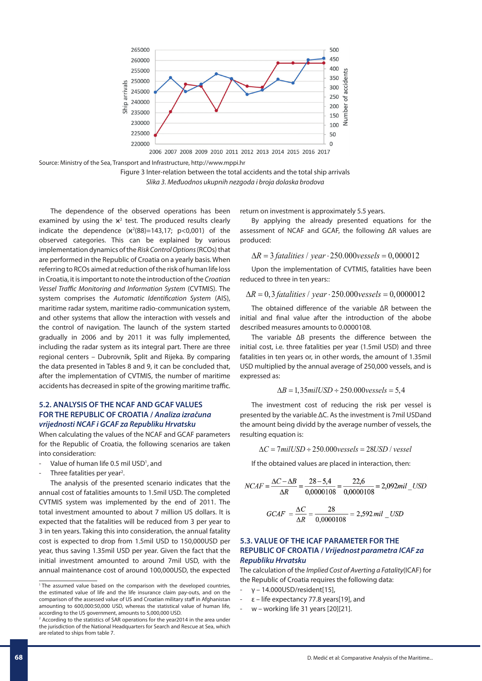

Source: Ministry of the Sea, Transport and Infrastructure, http://www.mppi.hr



The dependence of the observed operations has been examined by using the  $x^2$  test. The produced results clearly indicate the dependence  $(x^2(88)=143,17; p<0,001)$  of the observed categories. This can be explained by various implementation dynamics of the *Risk Control Options* (RCOs) that are performed in the Republic of Croatia on a yearly basis. When referring to RCOs aimed at reduction of the risk of human life loss in Croatia, it is important to note the introduction of the *Croatian Vessel Traffic Monitoring and Information System* (CVTMIS). The system comprises the *Automatic Identification System* (AIS), maritime radar system, maritime radio-communication system, and other systems that allow the interaction with vessels and the control of navigation. The launch of the system started gradually in 2006 and by 2011 it was fully implemented, including the radar system as its integral part. There are three regional centers – Dubrovnik, Split and Rijeka. By comparing the data presented in Tables 8 and 9, it can be concluded that, after the implementation of CVTMIS, the number of maritime accidents has decreased in spite of the growing maritime traffic.

## **5.2. ANALYSIS OF THE NCAF AND GCAF VALUES FOR THE REPUBLIC OF CROATIA /** *Analiza izračuna vrijednosti NCAF i GCAF za Republiku Hrvatsku*

When calculating the values of the NCAF and GCAF parameters for the Republic of Croatia, the following scenarios are taken into consideration:

- Value of human life 0.5 mil USD<sup>1</sup>, and
- Three fatalities per year<sup>2</sup>.

The analysis of the presented scenario indicates that the annual cost of fatalities amounts to 1.5mil USD. The completed CVTMIS system was implemented by the end of 2011. The total investment amounted to about 7 million US dollars. It is expected that the fatalities will be reduced from 3 per year to 3 in ten years. Taking this into consideration, the annual fatality cost is expected to drop from 1.5mil USD to 150,000USD per year, thus saving 1.35mil USD per year. Given the fact that the initial investment amounted to around 7mil USD, with the annual maintenance cost of around 100,000USD, the expected return on investment is approximately 5.5 years.

By applying the already presented equations for the assessment of NCAF and GCAF, the following ΔR values are produced:

$$
\Delta R = 3
$$
 *fatalities* / *year*  $\cdot$  250.000*vessels* = 0,000012

Upon the implementation of CVTMIS, fatalities have been reduced to three in ten years::

$$
\Delta R = 0,3
$$
 *fatalities* / *year*  $\cdot$  250.000*vessels* = 0,0000012

The obtained difference of the variable ΔR between the initial and final value after the introduction of the abobe described measures amounts to 0.0000108.

The variable ΔB presents the difference between the initial cost, i.e. three fatalities per year (1.5mil USD) and three fatalities in ten years or, in other words, the amount of 1.35mil USD multiplied by the annual average of 250,000 vessels, and is expressed as:

$$
\Delta B = 1,35 \, milUSD \div 250.000 \, vessels = 5,4
$$

The investment cost of reducing the risk per vessel is presented by the variable ΔC. As the investment is 7mil USDand the amount being dividd by the average number of vessels, the resulting equation is:

 $\Delta C = 7$  milUSD ÷ 250.000 vessels = 28USD / vessel

If the obtained values are placed in interaction, then:

$$
NCAF = \frac{\Delta C - \Delta B}{\Delta R} = \frac{28 - 5,4}{0,0000108} = \frac{22,6}{0,0000108} = 2,092 mil \_text{USD}
$$

$$
GCAF = \frac{\Delta C}{\Delta R} = \frac{28}{0,0000108} = 2,592 mil \_text{USD}
$$

#### **5.3. VALUE OF THE ICAF PARAMETER FOR THE REPUBLIC OF CROATIA /** *Vrijednost parametra ICAF za Republiku Hrvatsku*

The calculation of the *Implied Cost of Averting a Fatality*(ICAF) for the Republic of Croatia requires the following data:

- γ 14.000USD/resident[15],
- ε life expectancy 77.8 years[19], and
- $w$  working life 31 years [20][21].

<sup>&</sup>lt;sup>1</sup> The assumed value based on the comparison with the developed countries, the estimated value of life and the life insurance claim pay-outs, and on the comparison of the assessed value of US and Croatian military staff in Afghanistan amounting to 600,000:50,000 USD, whereas the statistical value of human life, according to the US government, amounts to 5,000,000 USD.

<sup>2</sup> According to the statistics of SAR operations for the year2014 in the area under the jurisdiction of the National Headquarters for Search and Rescue at Sea, which are related to ships from table 7.